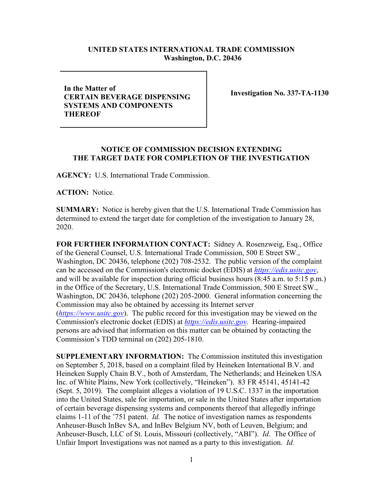## **UNITED STATES INTERNATIONAL TRADE COMMISSION Washington, D.C. 20436**

**In the Matter of CERTAIN BEVERAGE DISPENSING SYSTEMS AND COMPONENTS THEREOF**

**Investigation No. 337-TA-1130**

## **NOTICE OF COMMISSION DECISION EXTENDING THE TARGET DATE FOR COMPLETION OF THE INVESTIGATION**

**AGENCY:** U.S. International Trade Commission.

**ACTION:** Notice.

**SUMMARY:** Notice is hereby given that the U.S. International Trade Commission has determined to extend the target date for completion of the investigation to January 28, 2020.

**FOR FURTHER INFORMATION CONTACT:** Sidney A. Rosenzweig, Esq., Office of the General Counsel, U.S. International Trade Commission, 500 E Street SW., Washington, DC 20436, telephone (202) 708-2532. The public version of the complaint can be accessed on the Commission's electronic docket (EDIS) at *[https://edis.usitc.gov](https://edis.usitc.gov/)*, and will be available for inspection during official business hours (8:45 a.m. to 5:15 p.m.) in the Office of the Secretary, U.S. International Trade Commission, 500 E Street SW., Washington, DC 20436, telephone (202) 205-2000. General information concerning the Commission may also be obtained by accessing its Internet server (*[https://www.usitc.gov](https://www.usitc.gov/)*). The public record for this investigation may be viewed on the Commission's electronic docket (EDIS) at *[https://edis.usitc.gov.](https://edis.usitc.gov/)* Hearing-impaired persons are advised that information on this matter can be obtained by contacting the Commission's TDD terminal on (202) 205-1810.

**SUPPLEMENTARY INFORMATION:** The Commission instituted this investigation on September 5, 2018, based on a complaint filed by Heineken International B.V. and Heineken Supply Chain B.V., both of Amsterdam, The Netherlands; and Heineken USA Inc. of White Plains, New York (collectively, "Heineken"). 83 FR 45141, 45141-42 (Sept. 5, 2019). The complaint alleges a violation of 19 U.S.C. 1337 in the importation into the United States, sale for importation, or sale in the United States after importation of certain beverage dispensing systems and components thereof that allegedly infringe claims 1-11 of the '751 patent. *Id.* The notice of investigation names as respondents Anheuser-Busch InBev SA, and InBev Belgium NV, both of Leuven, Belgium; and Anheuser-Busch, LLC of St. Louis, Missouri (collectively, "ABI"). *Id*. The Office of Unfair Import Investigations was not named as a party to this investigation. *Id.*